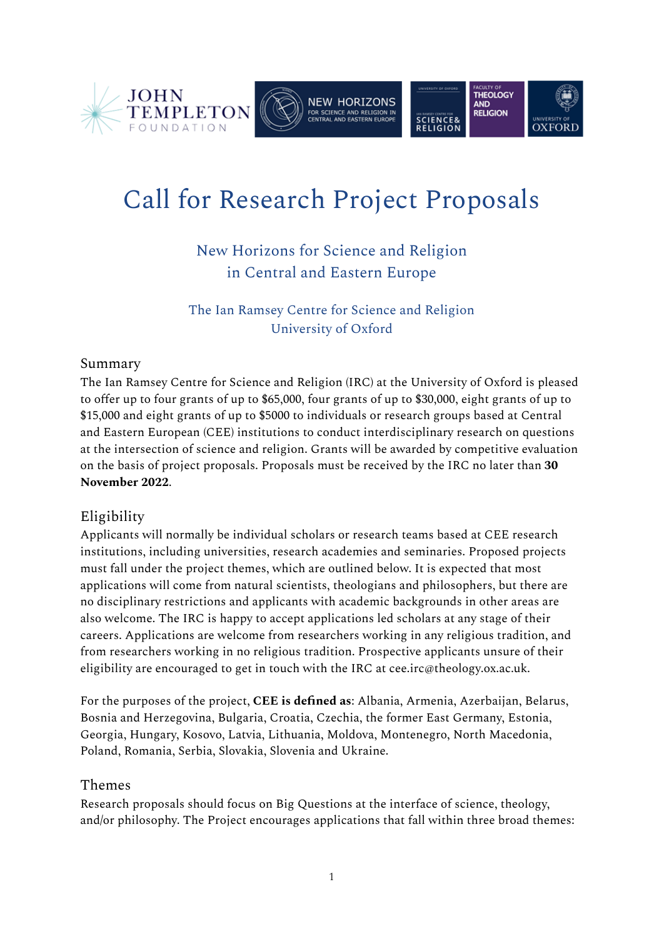





# Call for Research Project Proposals

New Horizons for Science and Religion in Central and Eastern Europe

The Ian Ramsey Centre for Science and Religion University of Oxford

## Summary

The Ian Ramsey Centre for Science and Religion (IRC) at the University of Oxford is pleased to offer up to four grants of up to \$65,000, four grants of up to \$30,000, eight grants of up to \$15,000 and eight grants of up to \$5000 to individuals or research groups based at Central and Eastern European (CEE) institutions to conduct interdisciplinary research on questions at the intersection of science and religion. Grants will be awarded by competitive evaluation on the basis of project proposals. Proposals must be received by the IRC no later than **30 November 2022**.

## Eligibility

Applicants will normally be individual scholars or research teams based at CEE research institutions, including universities, research academies and seminaries. Proposed projects must fall under the project themes, which are outlined below. It is expected that most applications will come from natural scientists, theologians and philosophers, but there are no disciplinary restrictions and applicants with academic backgrounds in other areas are also welcome. The IRC is happy to accept applications led scholars at any stage of their careers. Applications are welcome from researchers working in any religious tradition, and from researchers working in no religious tradition. Prospective applicants unsure of their eligibility are encouraged to get in touch with the IRC at cee.irc@theology.ox.ac.uk.

For the purposes of the project, **CEE is defined as**: Albania, Armenia, Azerbaijan, Belarus, Bosnia and Herzegovina, Bulgaria, Croatia, Czechia, the former East Germany, Estonia, Georgia, Hungary, Kosovo, Latvia, Lithuania, Moldova, Montenegro, North Macedonia, Poland, Romania, Serbia, Slovakia, Slovenia and Ukraine.

## Themes

Research proposals should focus on Big Questions at the interface of science, theology, and/or philosophy. The Project encourages applications that fall within three broad themes: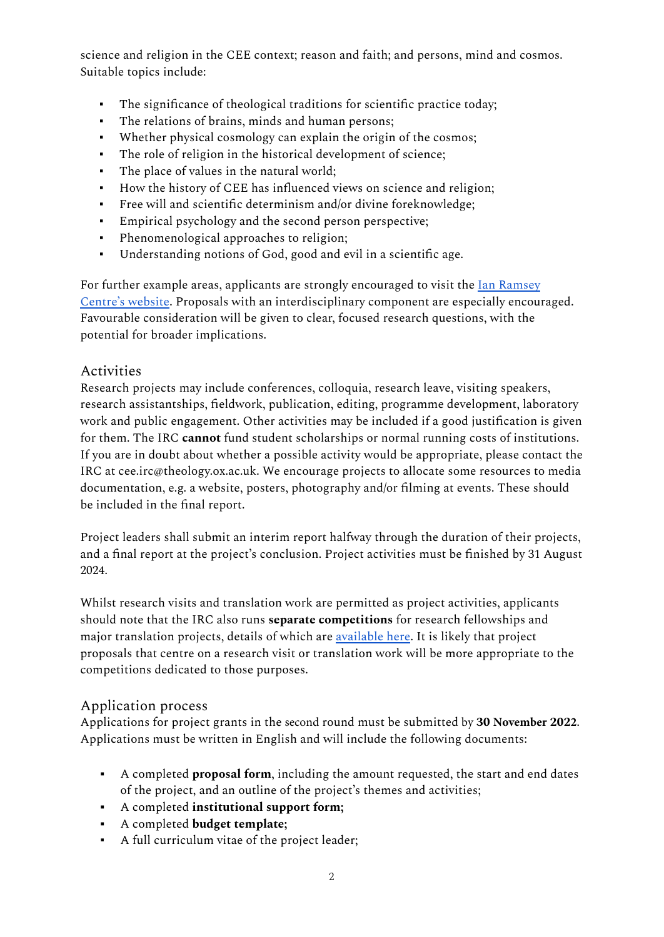science and religion in the CEE context; reason and faith; and persons, mind and cosmos. Suitable topics include:

- The significance of theological traditions for scientific practice today;
- The relations of brains, minds and human persons;
- Whether physical cosmology can explain the origin of the cosmos;
- The role of religion in the historical development of science;
- The place of values in the natural world;
- How the history of CEE has influenced views on science and religion;
- Free will and scientific determinism and/or divine foreknowledge;
- Empirical psychology and the second person perspective;
- Phenomenological approaches to religion;
- Understanding notions of God, good and evil in a scientific age.

For further example areas, applicants are strongly encouraged to visit the Ian Ramsey [Centre's website](https://cee.ianramseycentre.ox.ac.uk/research). Proposals with an interdisciplinary component are especially encouraged. Favourable consideration will be given to clear, focused research questions, with the potential for broader implications.

### Activities

Research projects may include conferences, colloquia, research leave, visiting speakers, research assistantships, fieldwork, publication, editing, programme development, laboratory work and public engagement. Other activities may be included if a good justification is given for them. The IRC **cannot** fund student scholarships or normal running costs of institutions. If you are in doubt about whether a possible activity would be appropriate, please contact the IRC at cee.irc@theology.ox.ac.uk. We encourage projects to allocate some resources to media documentation, e.g. a website, posters, photography and/or filming at events. These should be included in the final report.

Project leaders shall submit an interim report halfway through the duration of their projects, and a final report at the project's conclusion. Project activities must be finished by 31 August 2024.

Whilst research visits and translation work are permitted as project activities, applicants should note that the IRC also runs **separate competitions** for research fellowships and major translation projects, details of which are [available here](https://cee.ianramseycentre.ox.ac.uk/applications). It is likely that project proposals that centre on a research visit or translation work will be more appropriate to the competitions dedicated to those purposes.

## Application process

Applications for project grants in the second round must be submitted by **30 November 2022**. Applications must be written in English and will include the following documents:

- A completed **proposal form**, including the amount requested, the start and end dates of the project, and an outline of the project's themes and activities;
- A completed **institutional support form;**
- A completed **budget template;**
- A full curriculum vitae of the project leader;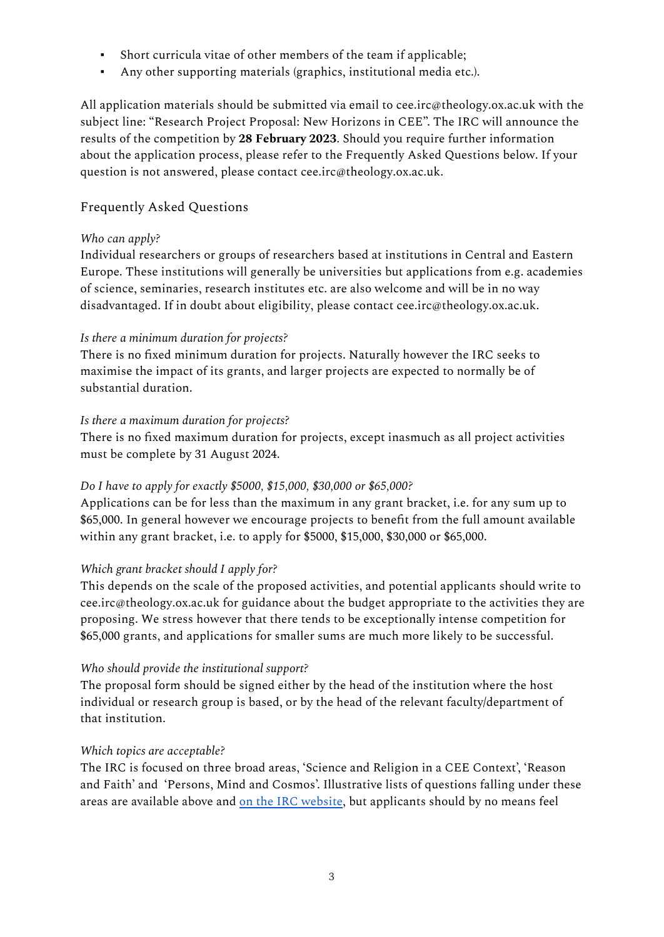- Short curricula vitae of other members of the team if applicable;
- Any other supporting materials (graphics, institutional media etc.).

All application materials should be submitted via email to cee.irc@theology.ox.ac.uk with the subject line: "Research Project Proposal: New Horizons in CEE". The IRC will announce the results of the competition by **28 February 2023**. Should you require further information about the application process, please refer to the Frequently Asked Questions below. If your question is not answered, please contact cee.irc@theology.ox.ac.uk.

## Frequently Asked Questions

#### *Who can apply?*

Individual researchers or groups of researchers based at institutions in Central and Eastern Europe. These institutions will generally be universities but applications from e.g. academies of science, seminaries, research institutes etc. are also welcome and will be in no way disadvantaged. If in doubt about eligibility, please contact cee.irc@theology.ox.ac.uk.

#### *Is there a minimum duration for projects?*

There is no fixed minimum duration for projects. Naturally however the IRC seeks to maximise the impact of its grants, and larger projects are expected to normally be of substantial duration.

#### *Is there a maximum duration for projects?*

There is no fixed maximum duration for projects, except inasmuch as all project activities must be complete by 31 August 2024.

#### *Do I have to apply for exactly \$5000, \$15,000, \$30,000 or \$65,000?*

Applications can be for less than the maximum in any grant bracket, i.e. for any sum up to \$65,000. In general however we encourage projects to benefit from the full amount available within any grant bracket, i.e. to apply for \$5000, \$15,000, \$30,000 or \$65,000.

#### *Which grant bracket should I apply for?*

This depends on the scale of the proposed activities, and potential applicants should write to cee.irc@theology.ox.ac.uk for guidance about the budget appropriate to the activities they are proposing. We stress however that there tends to be exceptionally intense competition for \$65,000 grants, and applications for smaller sums are much more likely to be successful.

#### *Who should provide the institutional support?*

The proposal form should be signed either by the head of the institution where the host individual or research group is based, or by the head of the relevant faculty/department of that institution.

#### *Which topics are acceptable?*

The IRC is focused on three broad areas, 'Science and Religion in a CEE Context', 'Reason and Faith' and 'Persons, Mind and Cosmos'. Illustrative lists of questions falling under these areas are available above and [on the IRC website,](https://cee.ianramseycentre.ox.ac.uk/research) but applicants should by no means feel